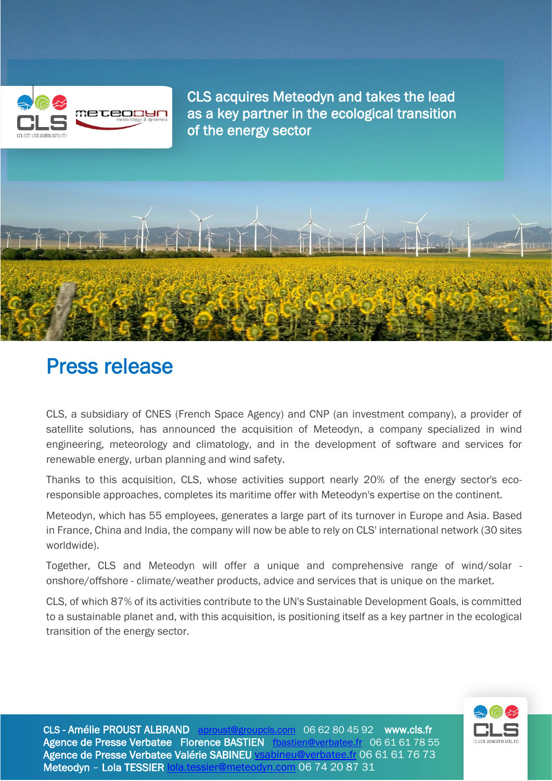

CLS acquires Meteodyn and takes the lead as a key partner in the ecological transition of the energy sector



# Press release

CLS, a subsidiary of CNES (French Space Agency) and CNP (an investment company), a provider of satellite solutions, has announced the acquisition of Meteodyn, a company specialized in wind engineering, meteorology and climatology, and in the development of software and services for renewable energy, urban planning and wind safety.

Thanks to this acquisition, CLS, whose activities support nearly 20% of the energy sector's ecoresponsible approaches, completes its maritime offer with Meteodyn's expertise on the continent.

Meteodyn, which has 55 employees, generates a large part of its turnover in Europe and Asia. Based in France, China and India, the company will now be able to rely on CLS' international network (30 sites worldwide).

Together, CLS and Meteodyn will offer a unique and comprehensive range of wind/solar onshore/offshore - climate/weather products, advice and services that is unique on the market.

CLS, of which 87% of its activities contribute to the UN's Sustainable Development Goals, is committed to a sustainable planet and, with this acquisition, is positioning itself as a key partner in the ecological transition of the energy sector.



CLS - Amélie PROUST ALBRAND [aproust@groupcls.com](mailto:aproust@groupcls.com) 06 62 80 45 92 www.cls.fr Agence de Presse Verbatee Florence BASTIEN [fbastien@verbatee.fr](mailto:fbastien@verbatee.fr) 06 61 61 78 55 Agence de Presse Verbatee Valérie SABINEU [vsabineu@verbatee.fr](mailto:vsabineu@verbatee.fr) 06 61 61 76 73 Meteodyn – Lola TESSIER [lola.tessier@meteodyn.com](mailto:lola.tessier@meteodyn.com) 06 74 20 87 31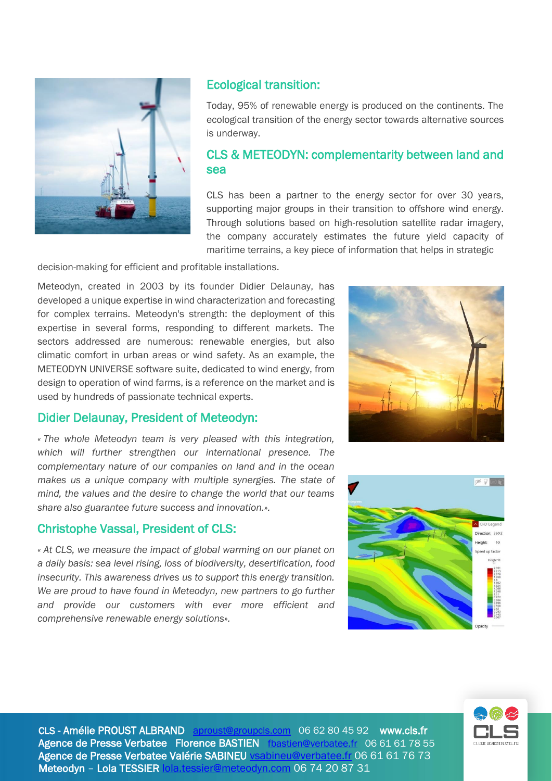

# Ecological transition:

Today, 95% of renewable energy is produced on the continents. The ecological transition of the energy sector towards alternative sources is underway.

# CLS & METEODYN: complementarity between land and sea

CLS has been a partner to the energy sector for over 30 years, supporting major groups in their transition to offshore wind energy. Through solutions based on high-resolution satellite radar imagery, the company accurately estimates the future yield capacity of maritime terrains, a key piece of information that helps in strategic

decision-making for efficient and profitable installations.

Meteodyn, created in 2003 by its founder Didier Delaunay, has developed a unique expertise in wind characterization and forecasting for complex terrains. Meteodyn's strength: the deployment of this expertise in several forms, responding to different markets. The sectors addressed are numerous: renewable energies, but also climatic comfort in urban areas or wind safety. As an example, the METEODYN UNIVERSE software suite, dedicated to wind energy, from design to operation of wind farms, is a reference on the market and is used by hundreds of passionate technical experts.

## Didier Delaunay, President of Meteodyn:

*« The whole Meteodyn team is very pleased with this integration, which will further strengthen our international presence. The complementary nature of our companies on land and in the ocean makes us a unique company with multiple synergies. The state of mind, the values and the desire to change the world that our teams share also guarantee future success and innovation.».*

## Christophe Vassal, President of CLS:

*« At CLS, we measure the impact of global warming on our planet on a daily basis: sea level rising, loss of biodiversity, desertification, food insecurity. This awareness drives us to support this energy transition. We are proud to have found in Meteodyn, new partners to go further and provide our customers with ever more efficient and comprehensive renewable energy solutions».*







CLS - Amélie PROUST ALBRAND [aproust@groupcls.com](mailto:aproust@groupcls.com) 06 62 80 45 92 www.cls.fr Agence de Presse Verbatee Florence BASTIEN [fbastien@verbatee.fr](mailto:fbastien@verbatee.fr) 06 61 61 78 55 Agence de Presse Verbatee Valérie SABINEU [vsabineu@verbatee.fr](mailto:vsabineu@verbatee.fr) 06 61 61 76 73 Meteodyn – Lola TESSIER [lola.tessier@meteodyn.com](mailto:lola.tessier@meteodyn.com) 06 74 20 87 31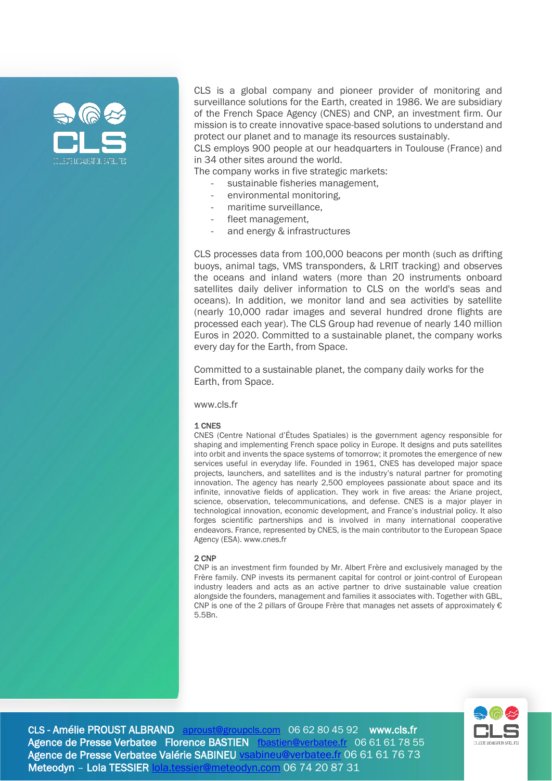

CLS is a global company and pioneer provider of monitoring and surveillance solutions for the Earth, created in 1986. We are subsidiary of the French Space Agency (CNES) and CNP, an investment firm. Our mission is to create innovative space-based solutions to understand and protect our planet and to manage its resources sustainably.

CLS employs 900 people at our headquarters in Toulouse (France) and in 34 other sites around the world.

The company works in five strategic markets:

- sustainable fisheries management.
- environmental monitoring,
- maritime surveillance,
- fleet management,
- and energy & infrastructures

CLS processes data from 100,000 beacons per month (such as drifting buoys, animal tags, VMS transponders, & LRIT tracking) and observes the oceans and inland waters (more than 20 instruments onboard satellites daily deliver information to CLS on the world's seas and oceans). In addition, we monitor land and sea activities by satellite (nearly 10,000 radar images and several hundred drone flights are processed each year). The CLS Group had revenue of nearly 140 million Euros in 2020. Committed to a sustainable planet, the company works every day for the Earth, from Space.

Committed to a sustainable planet, the company daily works for the Earth, from Space.

[www.cls.fr](http://www.cls.fr/)

#### 1 CNES

CNES (Centre National d'Études Spatiales) is the government agency responsible for shaping and implementing French space policy in Europe. It designs and puts satellites into orbit and invents the space systems of tomorrow; it promotes the emergence of new services useful in everyday life. Founded in 1961, CNES has developed major space projects, launchers, and satellites and is the industry's natural partner for promoting innovation. The agency has nearly 2,500 employees passionate about space and its infinite, innovative fields of application. They work in five areas: the Ariane project, science, observation, telecommunications, and defense. CNES is a major player in technological innovation, economic development, and France's industrial policy. It also forges scientific partnerships and is involved in many international cooperative endeavors. France, represented by CNES, is the main contributor to the European Space Agency (ESA). [www.cnes.fr](http://www.cnes.fr/)

#### 2 CNP

CNP is an investment firm founded by Mr. Albert Frère and exclusively managed by the Frère family. CNP invests its permanent capital for control or joint-control of European industry leaders and acts as an active partner to drive sustainable value creation alongside the founders, management and families it associates with. Together with GBL, CNP is one of the 2 pillars of Groupe Frère that manages net assets of approximately  $\epsilon$ 5.5Bn.



CLS - Amélie PROUST ALBRAND [aproust@groupcls.com](mailto:aproust@groupcls.com) 06 62 80 45 92 www.cls.fr Agence de Presse Verbatee Florence BASTIEN [fbastien@verbatee.fr](mailto:fbastien@verbatee.fr) 06 61 61 78 55 Agence de Presse Verbatee Valérie SABINEU [vsabineu@verbatee.fr](mailto:vsabineu@verbatee.fr) 06 61 61 76 73 Meteodyn – Lola TESSIER [lola.tessier@meteodyn.com](mailto:lola.tessier@meteodyn.com) 06 74 20 87 31